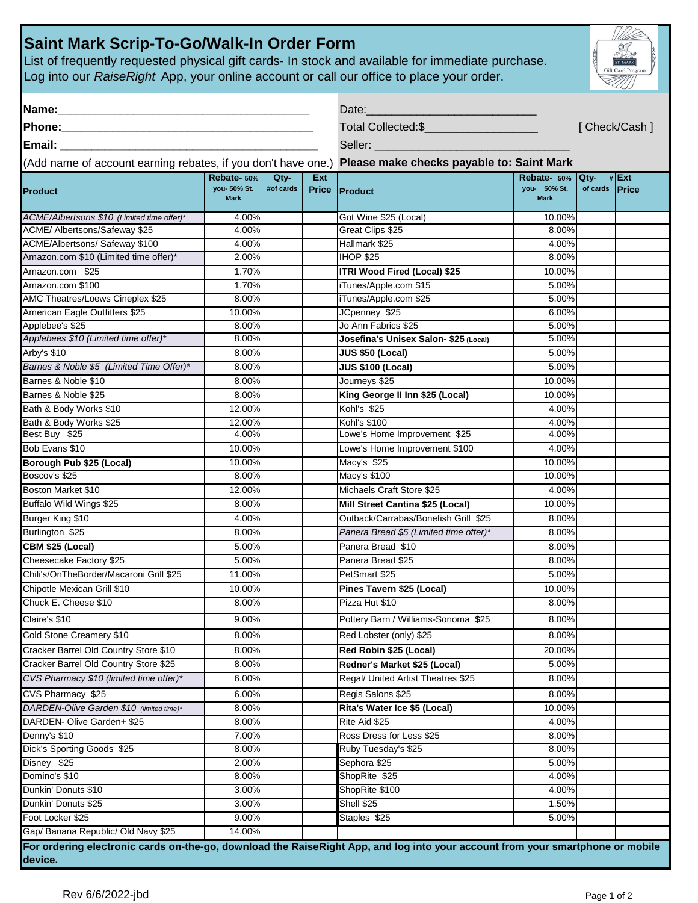## **Saint Mark Scrip-To-Go/Walk-In Order Form**

List of frequently requested physical gift cards- In stock and available for immediate purchase. Log into our *RaiseRight* App, your online account or call our office to place your order.

| Name:                                                                                                                                                                                                                                                                                                          |                                            | Date:             |            |                                                                            |                                                 |                       |              |  |  |
|----------------------------------------------------------------------------------------------------------------------------------------------------------------------------------------------------------------------------------------------------------------------------------------------------------------|--------------------------------------------|-------------------|------------|----------------------------------------------------------------------------|-------------------------------------------------|-----------------------|--------------|--|--|
| Phone:<br><b>Email:</b> Email: The Contract of the Contract of the Contract of the Contract of the Contract of the Contract of the Contract of the Contract of the Contract of the Contract of the Contract of the Contract of the Contract o<br>(Add name of account earning rebates, if you don't have one.) |                                            |                   |            | Total Collected:\$<br>Seller:<br>Please make checks payable to: Saint Mark |                                                 |                       | [Check/Cash] |  |  |
|                                                                                                                                                                                                                                                                                                                |                                            |                   |            |                                                                            |                                                 |                       |              |  |  |
|                                                                                                                                                                                                                                                                                                                |                                            |                   |            |                                                                            |                                                 |                       |              |  |  |
| <b>Product</b>                                                                                                                                                                                                                                                                                                 | Rebate- 50%<br>you- 50% St.<br><b>Mark</b> | Qty-<br>#of cards | <b>Ext</b> | Price Product                                                              | Rebate- 50% Qty-<br>you- 50% St.<br><b>Mark</b> | of cards <b>Price</b> | $#$ Ext      |  |  |
| ACME/Albertsons \$10 (Limited time offer)*                                                                                                                                                                                                                                                                     | 4.00%                                      |                   |            | Got Wine \$25 (Local)                                                      | 10.00%                                          |                       |              |  |  |
| ACME/ Albertsons/Safeway \$25                                                                                                                                                                                                                                                                                  | 4.00%                                      |                   |            | Great Clips \$25                                                           | 8.00%                                           |                       |              |  |  |
| ACME/Albertsons/ Safeway \$100                                                                                                                                                                                                                                                                                 | 4.00%                                      |                   |            | Hallmark \$25                                                              | 4.00%                                           |                       |              |  |  |
| Amazon.com \$10 (Limited time offer)*                                                                                                                                                                                                                                                                          | 2.00%                                      |                   |            | <b>IHOP \$25</b>                                                           | 8.00%                                           |                       |              |  |  |
| Amazon.com \$25                                                                                                                                                                                                                                                                                                | 1.70%                                      |                   |            | <b>ITRI Wood Fired (Local) \$25</b>                                        | 10.00%                                          |                       |              |  |  |
| Amazon.com \$100                                                                                                                                                                                                                                                                                               | 1.70%                                      |                   |            | iTunes/Apple.com \$15                                                      | 5.00%                                           |                       |              |  |  |
| AMC Theatres/Loews Cineplex \$25                                                                                                                                                                                                                                                                               | 8.00%                                      |                   |            | iTunes/Apple.com \$25                                                      | 5.00%                                           |                       |              |  |  |
| American Eagle Outfitters \$25                                                                                                                                                                                                                                                                                 | 10.00%                                     |                   |            | JCpenney \$25                                                              | 6.00%                                           |                       |              |  |  |
| Applebee's \$25                                                                                                                                                                                                                                                                                                | 8.00%                                      |                   |            | Jo Ann Fabrics \$25                                                        | 5.00%                                           |                       |              |  |  |
| Applebees \$10 (Limited time offer)*                                                                                                                                                                                                                                                                           | 8.00%                                      |                   |            | Josefina's Unisex Salon- \$25 (Local)                                      | 5.00%                                           |                       |              |  |  |
| Arby's \$10                                                                                                                                                                                                                                                                                                    | 8.00%                                      |                   |            | <b>JUS \$50 (Local)</b>                                                    | 5.00%                                           |                       |              |  |  |
| Barnes & Noble \$5 (Limited Time Offer)*                                                                                                                                                                                                                                                                       | 8.00%                                      |                   |            | <b>JUS \$100 (Local)</b>                                                   | 5.00%                                           |                       |              |  |  |
| Barnes & Noble \$10                                                                                                                                                                                                                                                                                            | 8.00%                                      |                   |            | Journeys \$25                                                              | 10.00%                                          |                       |              |  |  |
| Barnes & Noble \$25                                                                                                                                                                                                                                                                                            | 8.00%                                      |                   |            | King George II Inn \$25 (Local)                                            | 10.00%                                          |                       |              |  |  |
| Bath & Body Works \$10                                                                                                                                                                                                                                                                                         | 12.00%                                     |                   |            | Kohl's \$25                                                                | 4.00%                                           |                       |              |  |  |
| Bath & Body Works \$25                                                                                                                                                                                                                                                                                         | 12.00%                                     |                   |            | <b>Kohl's \$100</b>                                                        | 4.00%                                           |                       |              |  |  |
| Best Buy \$25                                                                                                                                                                                                                                                                                                  | 4.00%                                      |                   |            | Lowe's Home Improvement \$25                                               | 4.00%                                           |                       |              |  |  |
| Bob Evans \$10                                                                                                                                                                                                                                                                                                 | 10.00%                                     |                   |            | Lowe's Home Improvement \$100                                              | 4.00%                                           |                       |              |  |  |
| Borough Pub \$25 (Local)                                                                                                                                                                                                                                                                                       | 10.00%                                     |                   |            | Macy's \$25                                                                | 10.00%                                          |                       |              |  |  |
| Boscov's \$25                                                                                                                                                                                                                                                                                                  | 8.00%                                      |                   |            | Macy's \$100                                                               | 10.00%                                          |                       |              |  |  |
| Boston Market \$10                                                                                                                                                                                                                                                                                             | 12.00%                                     |                   |            | Michaels Craft Store \$25                                                  | 4.00%                                           |                       |              |  |  |
| Buffalo Wild Wings \$25                                                                                                                                                                                                                                                                                        | 8.00%                                      |                   |            | Mill Street Cantina \$25 (Local)                                           | 10.00%                                          |                       |              |  |  |
| Burger King \$10                                                                                                                                                                                                                                                                                               | 4.00%                                      |                   |            | Outback/Carrabas/Bonefish Grill \$25                                       | 8.00%                                           |                       |              |  |  |
| Burlington \$25                                                                                                                                                                                                                                                                                                | 8.00%                                      |                   |            | Panera Bread \$5 (Limited time offer)*                                     | 8.00%                                           |                       |              |  |  |
| CBM \$25 (Local)                                                                                                                                                                                                                                                                                               | 5.00%                                      |                   |            | Panera Bread \$10                                                          | 8.00%                                           |                       |              |  |  |
| Cheesecake Factory \$25                                                                                                                                                                                                                                                                                        | 5.00%                                      |                   |            | Panera Bread \$25                                                          | 8.00%                                           |                       |              |  |  |
| Chili's/OnTheBorder/Macaroni Grill \$25                                                                                                                                                                                                                                                                        | 11.00%                                     |                   |            | PetSmart \$25                                                              | 5.00%                                           |                       |              |  |  |
| Chipotle Mexican Grill \$10                                                                                                                                                                                                                                                                                    | 10.00%                                     |                   |            | Pines Tavern \$25 (Local)                                                  | 10.00%                                          |                       |              |  |  |
| Chuck E. Cheese \$10                                                                                                                                                                                                                                                                                           | 8.00%                                      |                   |            | Pizza Hut \$10                                                             | 8.00%                                           |                       |              |  |  |
| Claire's \$10                                                                                                                                                                                                                                                                                                  | 9.00%                                      |                   |            | Pottery Barn / Williams-Sonoma \$25                                        | 8.00%                                           |                       |              |  |  |
|                                                                                                                                                                                                                                                                                                                |                                            |                   |            |                                                                            |                                                 |                       |              |  |  |
| Cold Stone Creamery \$10                                                                                                                                                                                                                                                                                       | 8.00%                                      |                   |            | Red Lobster (only) \$25                                                    | 8.00%                                           |                       |              |  |  |
| Cracker Barrel Old Country Store \$10                                                                                                                                                                                                                                                                          | 8.00%                                      |                   |            | Red Robin \$25 (Local)                                                     | 20.00%                                          |                       |              |  |  |
| Cracker Barrel Old Country Store \$25                                                                                                                                                                                                                                                                          | 8.00%                                      |                   |            | Redner's Market \$25 (Local)                                               | 5.00%                                           |                       |              |  |  |
| CVS Pharmacy \$10 (limited time offer)*                                                                                                                                                                                                                                                                        | 6.00%                                      |                   |            | Regal/ United Artist Theatres \$25                                         | 8.00%                                           |                       |              |  |  |
| CVS Pharmacy \$25                                                                                                                                                                                                                                                                                              | 6.00%                                      |                   |            | Regis Salons \$25                                                          | 8.00%                                           |                       |              |  |  |
| DARDEN-Olive Garden \$10 (limited time)*                                                                                                                                                                                                                                                                       | 8.00%                                      |                   |            | Rita's Water Ice \$5 (Local)                                               | 10.00%                                          |                       |              |  |  |
| DARDEN- Olive Garden+ \$25                                                                                                                                                                                                                                                                                     | 8.00%                                      |                   |            | Rite Aid \$25                                                              | 4.00%                                           |                       |              |  |  |
| Denny's \$10                                                                                                                                                                                                                                                                                                   | 7.00%                                      |                   |            | Ross Dress for Less \$25                                                   | 8.00%                                           |                       |              |  |  |
| Dick's Sporting Goods \$25                                                                                                                                                                                                                                                                                     | 8.00%                                      |                   |            | Ruby Tuesday's \$25                                                        | 8.00%                                           |                       |              |  |  |
| Disney \$25                                                                                                                                                                                                                                                                                                    | 2.00%                                      |                   |            | Sephora \$25                                                               | 5.00%                                           |                       |              |  |  |
| Domino's \$10                                                                                                                                                                                                                                                                                                  | 8.00%                                      |                   |            | ShopRite \$25                                                              | 4.00%                                           |                       |              |  |  |
| Dunkin' Donuts \$10                                                                                                                                                                                                                                                                                            | 3.00%                                      |                   |            | ShopRite \$100                                                             | 4.00%                                           |                       |              |  |  |
| Dunkin' Donuts \$25                                                                                                                                                                                                                                                                                            | 3.00%                                      |                   |            | Shell \$25                                                                 | 1.50%                                           |                       |              |  |  |
| Foot Locker \$25                                                                                                                                                                                                                                                                                               | 9.00%                                      |                   |            | Staples \$25                                                               | 5.00%                                           |                       |              |  |  |
| Gap/ Banana Republic/ Old Navy \$25                                                                                                                                                                                                                                                                            | 14.00%                                     |                   |            |                                                                            |                                                 |                       |              |  |  |
| For ordering electronic cards on-the-go, download the RaiseRight App, and log into your account from your smartphone or mobile<br>device.                                                                                                                                                                      |                                            |                   |            |                                                                            |                                                 |                       |              |  |  |

ST. MARK

T)